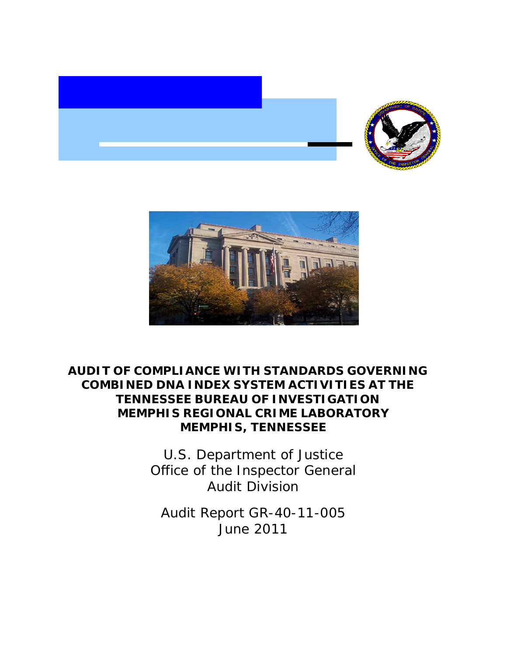



## **AUDIT OF COMPLIANCE WITH STANDARDS GOVERNING COMBINED DNA INDEX SYSTEM ACTIVITIES AT THE TENNESSEE BUREAU OF INVESTIGATION MEMPHIS REGIONAL CRIME LABORATORY MEMPHIS, TENNESSEE**

U.S. Department of Justice Office of the Inspector General Audit Division

Audit Report GR-40-11-005 June 2011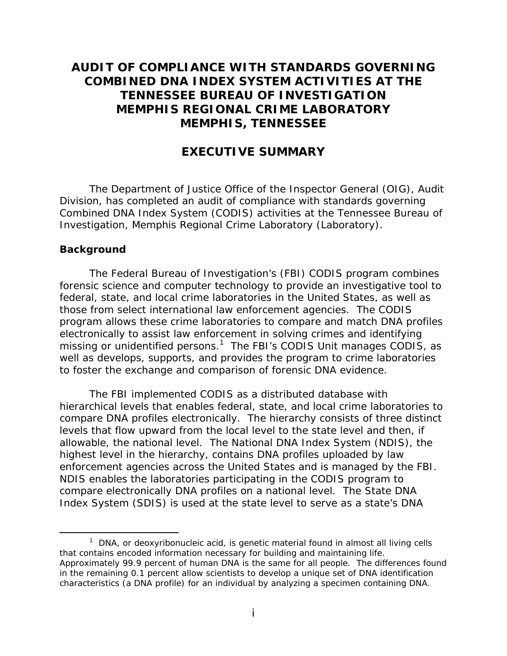## **AUDIT OF COMPLIANCE WITH STANDARDS GOVERNING COMBINED DNA INDEX SYSTEM ACTIVITIES AT THE TENNESSEE BUREAU OF INVESTIGATION MEMPHIS REGIONAL CRIME LABORATORY MEMPHIS, TENNESSEE**

## **EXECUTIVE SUMMARY**

The Department of Justice Office of the Inspector General (OIG), Audit Division, has completed an audit of compliance with standards governing Combined DNA Index System (CODIS) activities at the Tennessee Bureau of Investigation, Memphis Regional Crime Laboratory (Laboratory).

#### **Background**

-

The Federal Bureau of Investigation's (FBI) CODIS program combines forensic science and computer technology to provide an investigative tool to federal, state, and local crime laboratories in the United States, as well as those from select international law enforcement agencies. The CODIS program allows these crime laboratories to compare and match DNA profiles electronically to assist law enforcement in solving crimes and identifying missing or unidentified persons.<sup>1</sup> The FBI's CODIS Unit manages CODIS, as well as develops, supports, and provides the program to crime laboratories to foster the exchange and comparison of forensic DNA evidence.

The FBI implemented CODIS as a distributed database with hierarchical levels that enables federal, state, and local crime laboratories to compare DNA profiles electronically. The hierarchy consists of three distinct levels that flow upward from the local level to the state level and then, if allowable, the national level. The National DNA Index System (NDIS), the highest level in the hierarchy, contains DNA profiles uploaded by law enforcement agencies across the United States and is managed by the FBI. NDIS enables the laboratories participating in the CODIS program to compare electronically DNA profiles on a national level. The State DNA Index System (SDIS) is used at the state level to serve as a state's DNA

 that contains encoded information necessary for building and maintaining life. characteristics (a DNA profile) for an individual by analyzing a specimen containing DNA.<br>i  $1$  DNA, or deoxyribonucleic acid, is genetic material found in almost all living cells Approximately 99.9 percent of human DNA is the same for all people. The differences found in the remaining 0.1 percent allow scientists to develop a unique set of DNA identification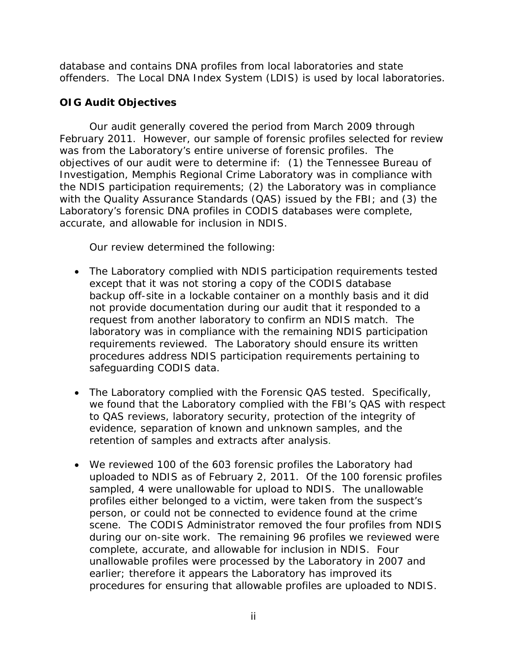database and contains DNA profiles from local laboratories and state offenders. The Local DNA Index System (LDIS) is used by local laboratories.

## **OIG Audit Objectives**

Our audit generally covered the period from March 2009 through February 2011. However, our sample of forensic profiles selected for review was from the Laboratory's entire universe of forensic profiles. The objectives of our audit were to determine if: (1) the Tennessee Bureau of Investigation, Memphis Regional Crime Laboratory was in compliance with the NDIS participation requirements; (2) the Laboratory was in compliance with the Quality Assurance Standards (QAS) issued by the FBI; and (3) the Laboratory's forensic DNA profiles in CODIS databases were complete, accurate, and allowable for inclusion in NDIS.

Our review determined the following:

- The Laboratory complied with NDIS participation requirements tested except that it was not storing a copy of the CODIS database backup off-site in a lockable container on a monthly basis and it did not provide documentation during our audit that it responded to a request from another laboratory to confirm an NDIS match. The laboratory was in compliance with the remaining NDIS participation requirements reviewed. The Laboratory should ensure its written procedures address NDIS participation requirements pertaining to safeguarding CODIS data.
- The Laboratory complied with the Forensic QAS tested. Specifically, we found that the Laboratory complied with the FBI's QAS with respect to QAS reviews, laboratory security, protection of the integrity of evidence, separation of known and unknown samples, and the retention of samples and extracts after analysis.
- We reviewed 100 of the 603 forensic profiles the Laboratory had uploaded to NDIS as of February 2, 2011. Of the 100 forensic profiles sampled, 4 were unallowable for upload to NDIS. The unallowable profiles either belonged to a victim, were taken from the suspect's person, or could not be connected to evidence found at the crime scene. The CODIS Administrator removed the four profiles from NDIS during our on-site work. The remaining 96 profiles we reviewed were complete, accurate, and allowable for inclusion in NDIS. Four unallowable profiles were processed by the Laboratory in 2007 and earlier; therefore it appears the Laboratory has improved its procedures for ensuring that allowable profiles are uploaded to NDIS.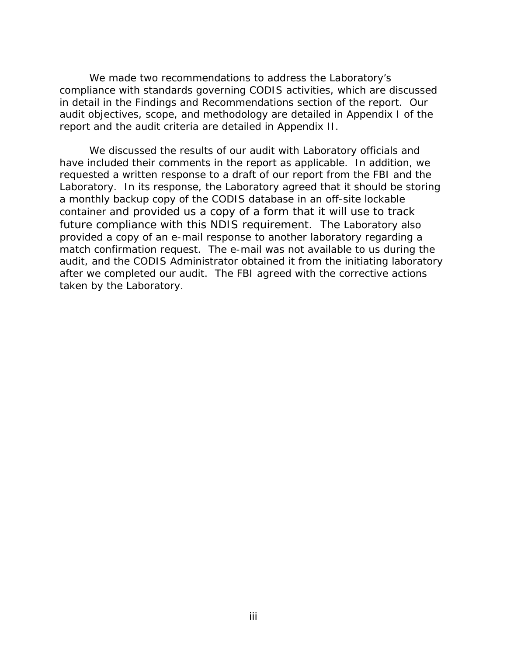We made two recommendations to address the Laboratory's compliance with standards governing CODIS activities, which are discussed in detail in the Findings and Recommendations section of the report. Our audit objectives, scope, and methodology are detailed in Appendix I of the report and the audit criteria are detailed in Appendix II.

We discussed the results of our audit with Laboratory officials and have included their comments in the report as applicable. In addition, we requested a written response to a draft of our report from the FBI and the Laboratory. In its response, the Laboratory agreed that it should be storing a monthly backup copy of the CODIS database in an off-site lockable container and provided us a copy of a form that it will use to track future compliance with this NDIS requirement. The Laboratory also provided a copy of an e-mail response to another laboratory regarding a match confirmation request. The e-mail was not available to us during the audit, and the CODIS Administrator obtained it from the initiating laboratory after we completed our audit. The FBI agreed with the corrective actions taken by the Laboratory.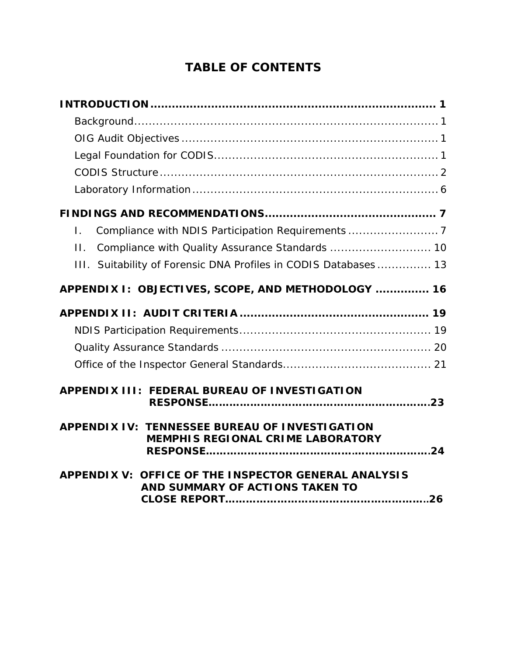# **TABLE OF CONTENTS**

| $\mathsf{L}$                                                                               |
|--------------------------------------------------------------------------------------------|
| Compliance with Quality Assurance Standards  10<br>$\Pi$ .                                 |
| III. Suitability of Forensic DNA Profiles in CODIS Databases 13                            |
| APPENDIX I: OBJECTIVES, SCOPE, AND METHODOLOGY  16                                         |
|                                                                                            |
|                                                                                            |
|                                                                                            |
|                                                                                            |
| APPENDIX III: FEDERAL BUREAU OF INVESTIGATION                                              |
| APPENDIX IV: TENNESSEE BUREAU OF INVESTIGATION<br><b>MEMPHIS REGIONAL CRIME LABORATORY</b> |
| APPENDIX V: OFFICE OF THE INSPECTOR GENERAL ANALYSIS<br>AND SUMMARY OF ACTIONS TAKEN TO    |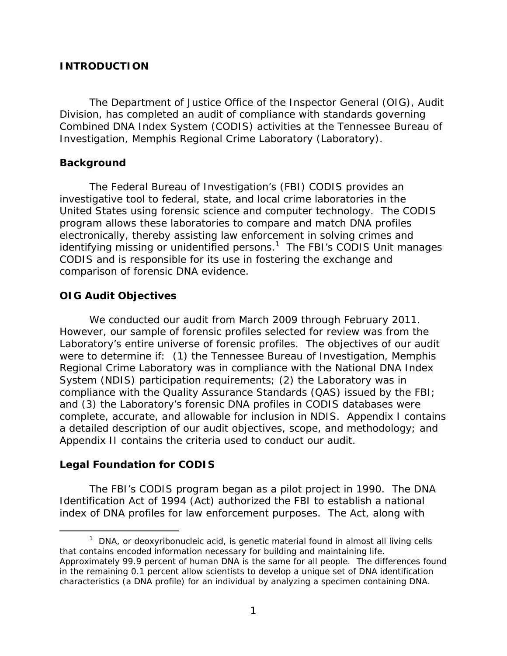### <span id="page-5-0"></span>**INTRODUCTION**

The Department of Justice Office of the Inspector General (OIG), Audit Division, has completed an audit of compliance with standards governing Combined DNA Index System (CODIS) activities at the Tennessee Bureau of Investigation, Memphis Regional Crime Laboratory (Laboratory).

### **Background**

The Federal Bureau of Investigation's (FBI) CODIS provides an investigative tool to federal, state, and local crime laboratories in the United States using forensic science and computer technology. The CODIS program allows these laboratories to compare and match DNA profiles electronically, thereby assisting law enforcement in solving crimes and identifying missing or unidentified persons.<sup>1</sup> The FBI's CODIS Unit manages CODIS and is responsible for its use in fostering the exchange and comparison of forensic DNA evidence.

## **OIG Audit Objectives**

We conducted our audit from March 2009 through February 2011. However, our sample of forensic profiles selected for review was from the Laboratory's entire universe of forensic profiles. The objectives of our audit were to determine if: (1) the Tennessee Bureau of Investigation, Memphis Regional Crime Laboratory was in compliance with the National DNA Index System (NDIS) participation requirements; (2) the Laboratory was in compliance with the Quality Assurance Standards (QAS) issued by the FBI; and (3) the Laboratory's forensic DNA profiles in CODIS databases were complete, accurate, and allowable for inclusion in NDIS. Appendix I contains a detailed description of our audit objectives, scope, and methodology; and Appendix II contains the criteria used to conduct our audit.

## **Legal Foundation for CODIS**

 $\overline{a}$ 

The FBI's CODIS program began as a pilot project in 1990. The DNA Identification Act of 1994 (Act) authorized the FBI to establish a national index of DNA profiles for law enforcement purposes. The Act, along with

 that contains encoded information necessary for building and maintaining life.  $1$  DNA, or deoxyribonucleic acid, is genetic material found in almost all living cells Approximately 99.9 percent of human DNA is the same for all people. The differences found in the remaining 0.1 percent allow scientists to develop a unique set of DNA identification characteristics (a DNA profile) for an individual by analyzing a specimen containing DNA.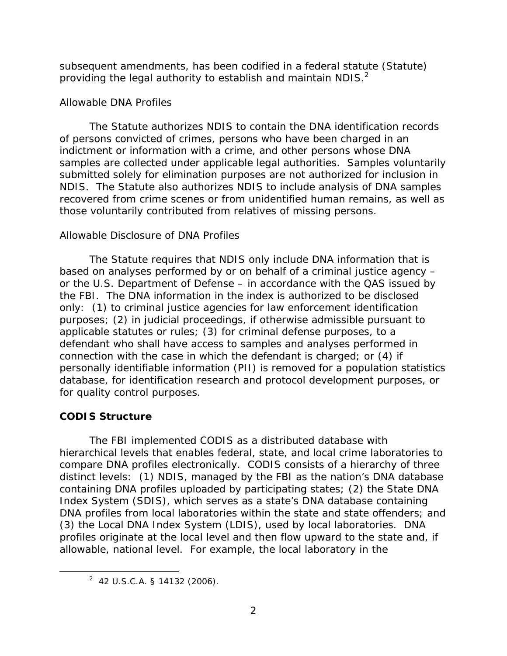<span id="page-6-0"></span>subsequent amendments, has been codified in a federal statute (Statute) providing the legal authority to establish and maintain NDIS. $<sup>2</sup>$ </sup>

## *Allowable DNA Profiles*

The Statute authorizes NDIS to contain the DNA identification records of persons convicted of crimes, persons who have been charged in an indictment or information with a crime, and other persons whose DNA samples are collected under applicable legal authorities. Samples voluntarily submitted solely for elimination purposes are not authorized for inclusion in NDIS. The Statute also authorizes NDIS to include analysis of DNA samples recovered from crime scenes or from unidentified human remains, as well as those voluntarily contributed from relatives of missing persons.

## *Allowable Disclosure of DNA Profiles*

The Statute requires that NDIS only include DNA information that is based on analyses performed by or on behalf of a criminal justice agency – or the U.S. Department of Defense – in accordance with the QAS issued by the FBI. The DNA information in the index is authorized to be disclosed only: (1) to criminal justice agencies for law enforcement identification purposes; (2) in judicial proceedings, if otherwise admissible pursuant to applicable statutes or rules; (3) for criminal defense purposes, to a defendant who shall have access to samples and analyses performed in connection with the case in which the defendant is charged; or (4) if personally identifiable information (PII) is removed for a population statistics database, for identification research and protocol development purposes, or for quality control purposes.

## **CODIS Structure**

-

The FBI implemented CODIS as a distributed database with hierarchical levels that enables federal, state, and local crime laboratories to compare DNA profiles electronically. CODIS consists of a hierarchy of three distinct levels: (1) NDIS, managed by the FBI as the nation's DNA database containing DNA profiles uploaded by participating states; (2) the State DNA Index System (SDIS), which serves as a state's DNA database containing DNA profiles from local laboratories within the state and state offenders; and (3) the Local DNA Index System (LDIS), used by local laboratories. DNA profiles originate at the local level and then flow upward to the state and, if allowable, national level. For example, the local laboratory in the

 $2$  42 U.S.C.A. § 14132 (2006).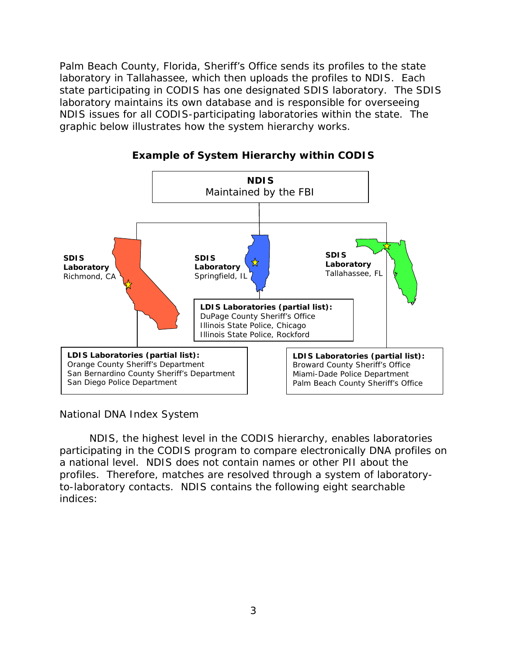graphic below illustrates how the system hierarchy works. Palm Beach County, Florida, Sheriff's Office sends its profiles to the state laboratory in Tallahassee, which then uploads the profiles to NDIS. Each state participating in CODIS has one designated SDIS laboratory. The SDIS laboratory maintains its own database and is responsible for overseeing NDIS issues for all CODIS-participating laboratories within the state. The





*National DNA Index System* 

NDIS, the highest level in the CODIS hierarchy, enables laboratories participating in the CODIS program to compare electronically DNA profiles on a national level. NDIS does not contain names or other PII about the profiles. Therefore, matches are resolved through a system of laboratoryto-laboratory contacts. NDIS contains the following eight searchable indices: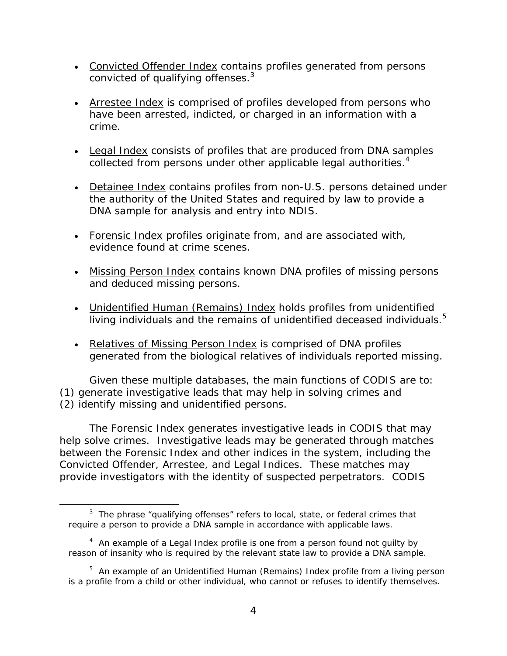- Convicted Offender Index contains profiles generated from persons convicted of qualifying offenses.<sup>3</sup>
- Arrestee Index is comprised of profiles developed from persons who have been arrested, indicted, or charged in an information with a crime.
- Legal Index consists of profiles that are produced from DNA samples collected from persons under other applicable legal authorities.<sup>4</sup>
- Detainee Index contains profiles from non-U.S. persons detained under the authority of the United States and required by law to provide a DNA sample for analysis and entry into NDIS.
- Forensic Index profiles originate from, and are associated with, evidence found at crime scenes.
- Missing Person Index contains known DNA profiles of missing persons and deduced missing persons.
- living individuals and the remains of unidentified deceased individuals.<sup>5</sup> • Unidentified Human (Remains) Index holds profiles from unidentified
- Relatives of Missing Person Index is comprised of DNA profiles generated from the biological relatives of individuals reported missing.

Given these multiple databases, the main functions of CODIS are to: (1) generate investigative leads that may help in solving crimes and (2) identify missing and unidentified persons.

The Forensic Index generates investigative leads in CODIS that may help solve crimes. Investigative leads may be generated through matches between the Forensic Index and other indices in the system, including the Convicted Offender, Arrestee, and Legal Indices. These matches may provide investigators with the identity of suspected perpetrators. CODIS

 $\overline{a}$ 

 $3$  The phrase "qualifying offenses" refers to local, state, or federal crimes that require a person to provide a DNA sample in accordance with applicable laws.

 reason of insanity who is required by the relevant state law to provide a DNA sample.  $4$  An example of a Legal Index profile is one from a person found not guilty by

<sup>&</sup>lt;sup>5</sup> An example of an Unidentified Human (Remains) Index profile from a living person is a profile from a child or other individual, who cannot or refuses to identify themselves.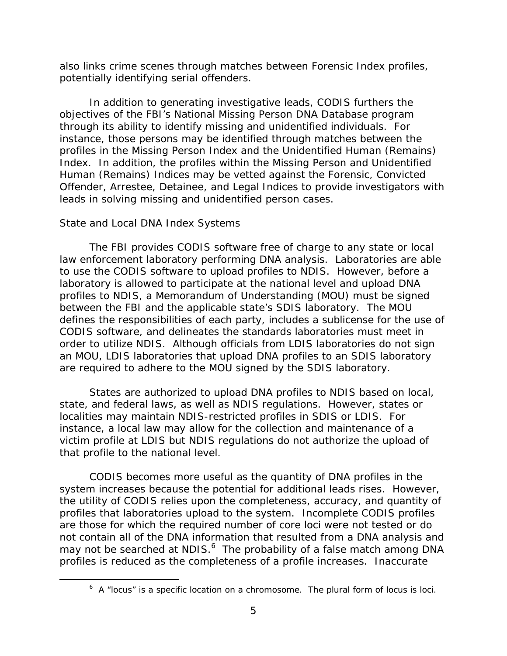potentially identifying serial offenders. also links crime scenes through matches between Forensic Index profiles,

In addition to generating investigative leads, CODIS furthers the objectives of the FBI's National Missing Person DNA Database program through its ability to identify missing and unidentified individuals. For instance, those persons may be identified through matches between the profiles in the Missing Person Index and the Unidentified Human (Remains) Index. In addition, the profiles within the Missing Person and Unidentified Human (Remains) Indices may be vetted against the Forensic, Convicted Offender, Arrestee, Detainee, and Legal Indices to provide investigators with leads in solving missing and unidentified person cases.

#### *State and Local DNA Index Systems*

 $\overline{a}$ 

The FBI provides CODIS software free of charge to any state or local law enforcement laboratory performing DNA analysis. Laboratories are able to use the CODIS software to upload profiles to NDIS. However, before a laboratory is allowed to participate at the national level and upload DNA profiles to NDIS, a Memorandum of Understanding (MOU) must be signed between the FBI and the applicable state's SDIS laboratory. The MOU defines the responsibilities of each party, includes a sublicense for the use of CODIS software, and delineates the standards laboratories must meet in order to utilize NDIS. Although officials from LDIS laboratories do not sign an MOU, LDIS laboratories that upload DNA profiles to an SDIS laboratory are required to adhere to the MOU signed by the SDIS laboratory.

States are authorized to upload DNA profiles to NDIS based on local, state, and federal laws, as well as NDIS regulations. However, states or localities may maintain NDIS-restricted profiles in SDIS or LDIS. For instance, a local law may allow for the collection and maintenance of a victim profile at LDIS but NDIS regulations do not authorize the upload of that profile to the national level.

CODIS becomes more useful as the quantity of DNA profiles in the system increases because the potential for additional leads rises. However, the utility of CODIS relies upon the completeness, accuracy, and quantity of profiles that laboratories upload to the system. Incomplete CODIS profiles are those for which the required number of core loci were not tested or do not contain all of the DNA information that resulted from a DNA analysis and may not be searched at NDIS.<sup>6</sup> The probability of a false match among DNA profiles is reduced as the completeness of a profile increases. Inaccurate

 $6$  A "locus" is a specific location on a chromosome. The plural form of locus is loci.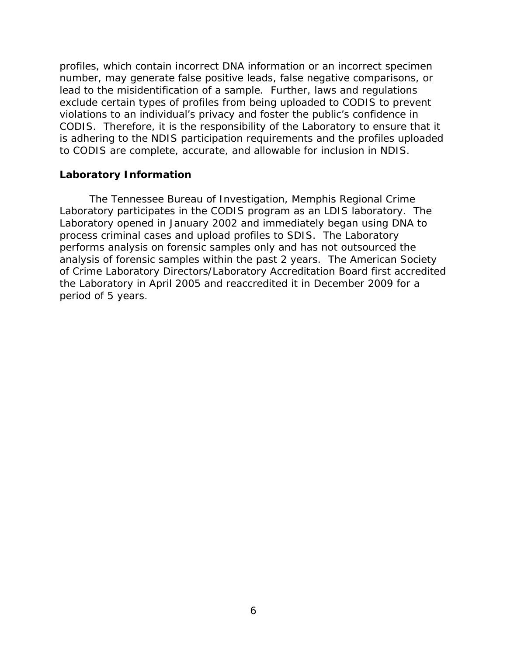<span id="page-10-0"></span>profiles, which contain incorrect DNA information or an incorrect specimen number, may generate false positive leads, false negative comparisons, or lead to the misidentification of a sample. Further, laws and regulations exclude certain types of profiles from being uploaded to CODIS to prevent violations to an individual's privacy and foster the public's confidence in CODIS. Therefore, it is the responsibility of the Laboratory to ensure that it is adhering to the NDIS participation requirements and the profiles uploaded to CODIS are complete, accurate, and allowable for inclusion in NDIS.

#### **Laboratory Information**

The Tennessee Bureau of Investigation, Memphis Regional Crime Laboratory participates in the CODIS program as an LDIS laboratory. The Laboratory opened in January 2002 and immediately began using DNA to process criminal cases and upload profiles to SDIS. The Laboratory performs analysis on forensic samples only and has not outsourced the analysis of forensic samples within the past 2 years. The American Society of Crime Laboratory Directors/Laboratory Accreditation Board first accredited the Laboratory in April 2005 and reaccredited it in December 2009 for a period of 5 years.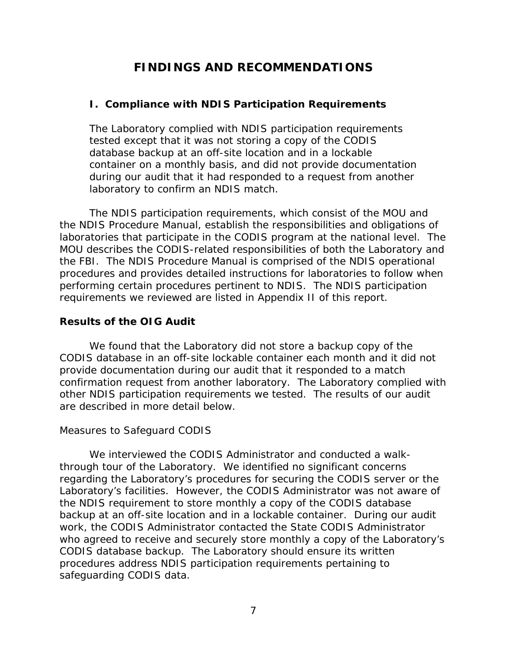# **FINDINGS AND RECOMMENDATIONS**

## <span id="page-11-0"></span>**I. Compliance with NDIS Participation Requirements**

The Laboratory complied with NDIS participation requirements tested except that it was not storing a copy of the CODIS database backup at an off-site location and in a lockable container on a monthly basis, and did not provide documentation during our audit that it had responded to a request from another laboratory to confirm an NDIS match.

The NDIS participation requirements, which consist of the MOU and the NDIS Procedure Manual, establish the responsibilities and obligations of laboratories that participate in the CODIS program at the national level. The MOU describes the CODIS-related responsibilities of both the Laboratory and the FBI. The NDIS Procedure Manual is comprised of the NDIS operational procedures and provides detailed instructions for laboratories to follow when performing certain procedures pertinent to NDIS. The NDIS participation requirements we reviewed are listed in Appendix II of this report.

## **Results of the OIG Audit**

We found that the Laboratory did not store a backup copy of the CODIS database in an off-site lockable container each month and it did not provide documentation during our audit that it responded to a match confirmation request from another laboratory. The Laboratory complied with other NDIS participation requirements we tested. The results of our audit are described in more detail below.

## *Measures to Safeguard CODIS*

We interviewed the CODIS Administrator and conducted a walkthrough tour of the Laboratory. We identified no significant concerns regarding the Laboratory's procedures for securing the CODIS server or the Laboratory's facilities. However, the CODIS Administrator was not aware of the NDIS requirement to store monthly a copy of the CODIS database backup at an off-site location and in a lockable container. During our audit work, the CODIS Administrator contacted the State CODIS Administrator who agreed to receive and securely store monthly a copy of the Laboratory's CODIS database backup. The Laboratory should ensure its written procedures address NDIS participation requirements pertaining to safeguarding CODIS data.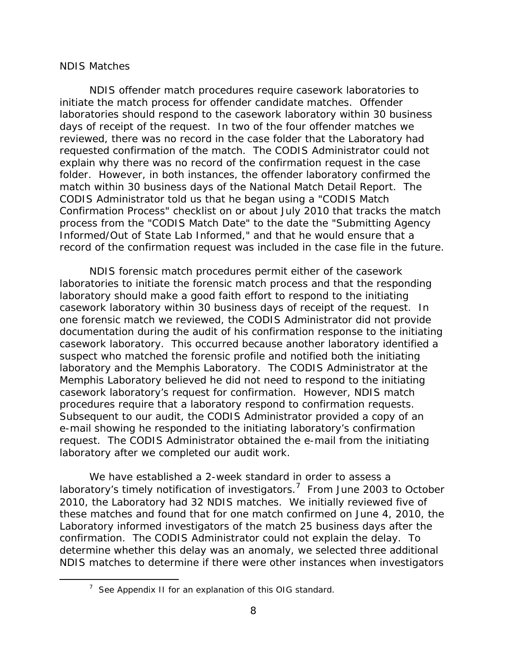#### *NDIS Matches*

 $\overline{a}$ 

NDIS offender match procedures require casework laboratories to initiate the match process for offender candidate matches. Offender laboratories should respond to the casework laboratory within 30 business days of receipt of the request. In two of the four offender matches we reviewed, there was no record in the case folder that the Laboratory had requested confirmation of the match. The CODIS Administrator could not explain why there was no record of the confirmation request in the case folder. However, in both instances, the offender laboratory confirmed the match within 30 business days of the National Match Detail Report. The CODIS Administrator told us that he began using a "CODIS Match Confirmation Process" checklist on or about July 2010 that tracks the match process from the "CODIS Match Date" to the date the "Submitting Agency Informed/Out of State Lab Informed," and that he would ensure that a record of the confirmation request was included in the case file in the future.

NDIS forensic match procedures permit either of the casework laboratories to initiate the forensic match process and that the responding laboratory should make a good faith effort to respond to the initiating casework laboratory within 30 business days of receipt of the request. In one forensic match we reviewed, the CODIS Administrator did not provide documentation during the audit of his confirmation response to the initiating casework laboratory. This occurred because another laboratory identified a suspect who matched the forensic profile and notified both the initiating laboratory and the Memphis Laboratory. The CODIS Administrator at the Memphis Laboratory believed he did not need to respond to the initiating casework laboratory's request for confirmation. However, NDIS match procedures require that a laboratory respond to confirmation requests. Subsequent to our audit, the CODIS Administrator provided a copy of an e-mail showing he responded to the initiating laboratory's confirmation request. The CODIS Administrator obtained the e-mail from the initiating laboratory after we completed our audit work.

We have established a 2-week standard in order to assess a laboratory's timely notification of investigators.<sup>7</sup> From June 2003 to October 2010, the Laboratory had 32 NDIS matches. We initially reviewed five of these matches and found that for one match confirmed on June 4, 2010, the Laboratory informed investigators of the match 25 business days after the confirmation. The CODIS Administrator could not explain the delay. To determine whether this delay was an anomaly, we selected three additional NDIS matches to determine if there were other instances when investigators

 $7$  See Appendix II for an explanation of this OIG standard.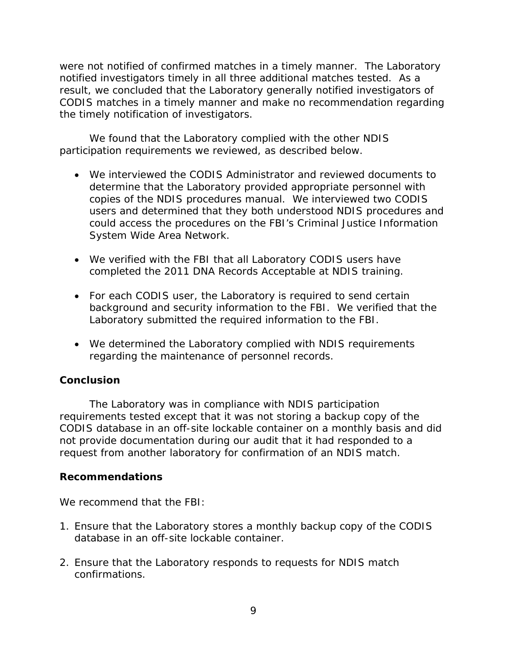were not notified of confirmed matches in a timely manner. The Laboratory notified investigators timely in all three additional matches tested. As a result, we concluded that the Laboratory generally notified investigators of CODIS matches in a timely manner and make no recommendation regarding the timely notification of investigators.

We found that the Laboratory complied with the other NDIS participation requirements we reviewed, as described below.

- We interviewed the CODIS Administrator and reviewed documents to determine that the Laboratory provided appropriate personnel with copies of the NDIS procedures manual. We interviewed two CODIS users and determined that they both understood NDIS procedures and could access the procedures on the FBI's Criminal Justice Information System Wide Area Network.
- We verified with the FBI that all Laboratory CODIS users have completed the 2011 DNA Records Acceptable at NDIS training.
- For each CODIS user, the Laboratory is required to send certain background and security information to the FBI. We verified that the Laboratory submitted the required information to the FBI.
- regarding the maintenance of personnel records. We determined the Laboratory complied with NDIS requirements

## **Conclusion**

The Laboratory was in compliance with NDIS participation requirements tested except that it was not storing a backup copy of the CODIS database in an off-site lockable container on a monthly basis and did not provide documentation during our audit that it had responded to a request from another laboratory for confirmation of an NDIS match.

## **Recommendations**

We recommend that the FBI:

- 1. Ensure that the Laboratory stores a monthly backup copy of the CODIS database in an off-site lockable container.
- 2. Ensure that the Laboratory responds to requests for NDIS match confirmations.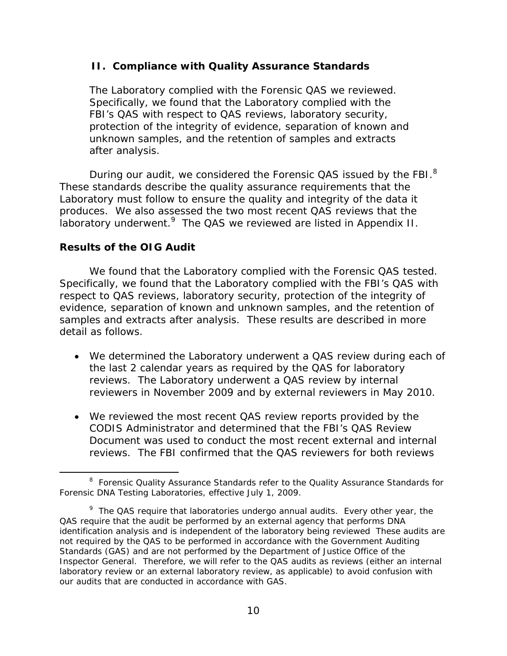## <span id="page-14-0"></span> **II. Compliance with Quality Assurance Standards**

The Laboratory complied with the Forensic QAS we reviewed. Specifically, we found that the Laboratory complied with the FBI's QAS with respect to QAS reviews, laboratory security, protection of the integrity of evidence, separation of known and unknown samples, and the retention of samples and extracts after analysis.

During our audit, we considered the Forensic QAS issued by the FBI. $^8$ These standards describe the quality assurance requirements that the Laboratory must follow to ensure the quality and integrity of the data it produces. We also assessed the two most recent QAS reviews that the laboratory underwent.<sup>9</sup> The QAS we reviewed are listed in Appendix II.

## **Results of the OIG Audit**

 $\overline{a}$ 

We found that the Laboratory complied with the Forensic QAS tested. Specifically, we found that the Laboratory complied with the FBI's QAS with respect to QAS reviews, laboratory security, protection of the integrity of evidence, separation of known and unknown samples, and the retention of samples and extracts after analysis. These results are described in more detail as follows.

- We determined the Laboratory underwent a QAS review during each of the last 2 calendar years as required by the QAS for laboratory reviews. The Laboratory underwent a QAS review by internal reviewers in November 2009 and by external reviewers in May 2010.
- We reviewed the most recent QAS review reports provided by the CODIS Administrator and determined that the FBI's QAS Review Document was used to conduct the most recent external and internal reviews. The FBI confirmed that the QAS reviewers for both reviews

<sup>&</sup>lt;sup>8</sup> Forensic Quality Assurance Standards refer to the Quality Assurance Standards for Forensic DNA Testing Laboratories, effective July 1, 2009.

 $9$  The QAS require that laboratories undergo annual audits. Every other year, the QAS require that the audit be performed by an external agency that performs DNA identification analysis and is independent of the laboratory being reviewed These audits are not required by the QAS to be performed in accordance with the *Government Auditing Standards* (GAS) and are not performed by the Department of Justice Office of the Inspector General. Therefore, we will refer to the QAS audits as reviews (either an internal laboratory review or an external laboratory review, as applicable) to avoid confusion with our audits that are conducted in accordance with GAS.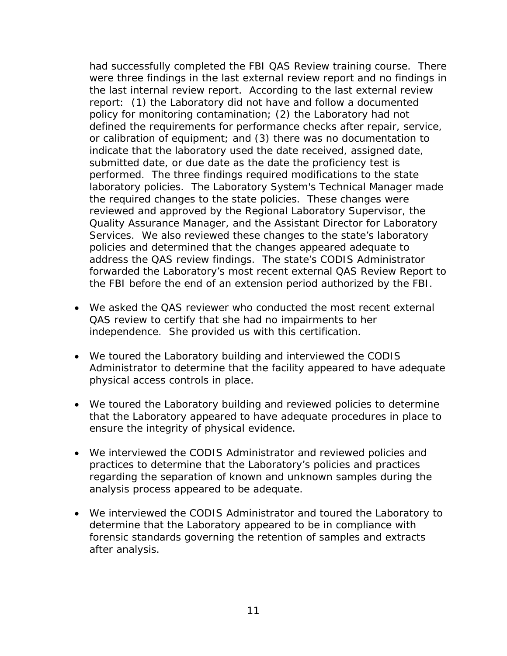had successfully completed the FBI QAS Review training course. There were three findings in the last external review report and no findings in the last internal review report. According to the last external review report: (1) the Laboratory did not have and follow a documented policy for monitoring contamination; (2) the Laboratory had not defined the requirements for performance checks after repair, service, or calibration of equipment; and (3) there was no documentation to indicate that the laboratory used the date received, assigned date, submitted date, or due date as the date the proficiency test is performed. The three findings required modifications to the state laboratory policies. The Laboratory System's Technical Manager made the required changes to the state policies. These changes were reviewed and approved by the Regional Laboratory Supervisor, the Quality Assurance Manager, and the Assistant Director for Laboratory Services. We also reviewed these changes to the state's laboratory policies and determined that the changes appeared adequate to address the QAS review findings. The state's CODIS Administrator forwarded the Laboratory's most recent external QAS Review Report to the FBI before the end of an extension period authorized by the FBI.

- We asked the QAS reviewer who conducted the most recent external QAS review to certify that she had no impairments to her independence. She provided us with this certification.
- We toured the Laboratory building and interviewed the CODIS Administrator to determine that the facility appeared to have adequate physical access controls in place.
- We toured the Laboratory building and reviewed policies to determine that the Laboratory appeared to have adequate procedures in place to ensure the integrity of physical evidence.
- We interviewed the CODIS Administrator and reviewed policies and practices to determine that the Laboratory's policies and practices regarding the separation of known and unknown samples during the analysis process appeared to be adequate.
- We interviewed the CODIS Administrator and toured the Laboratory to determine that the Laboratory appeared to be in compliance with forensic standards governing the retention of samples and extracts after analysis.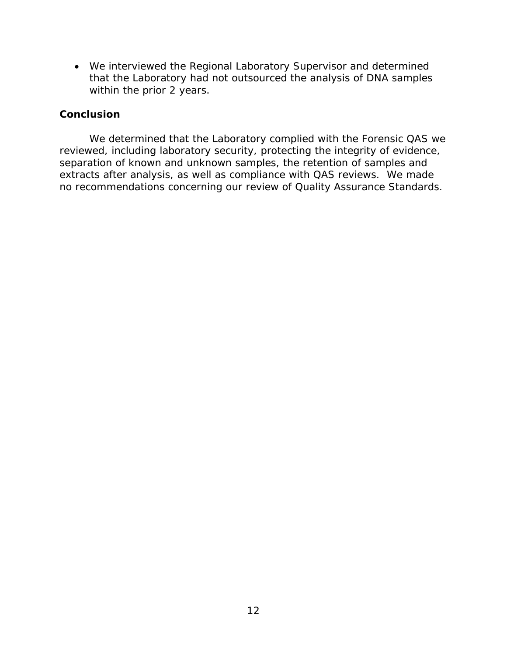We interviewed the Regional Laboratory Supervisor and determined that the Laboratory had not outsourced the analysis of DNA samples within the prior 2 years.

#### **Conclusion**

We determined that the Laboratory complied with the Forensic QAS we reviewed, including laboratory security, protecting the integrity of evidence, separation of known and unknown samples, the retention of samples and extracts after analysis, as well as compliance with QAS reviews. We made no recommendations concerning our review of Quality Assurance Standards.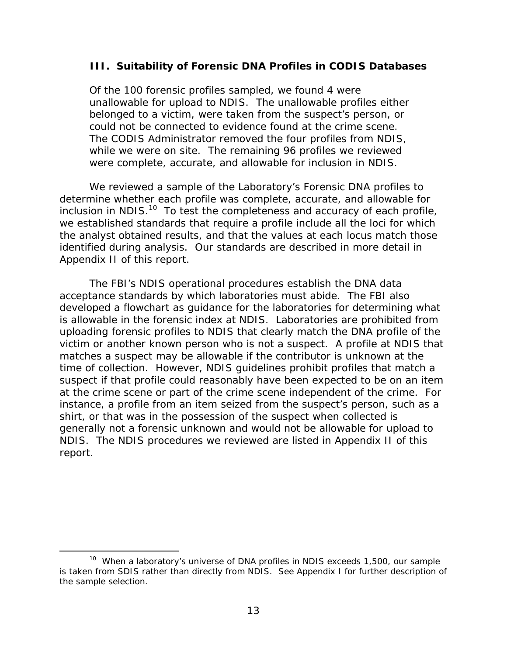### <span id="page-17-0"></span> **III. Suitability of Forensic DNA Profiles in CODIS Databases**

Of the 100 forensic profiles sampled, we found 4 were unallowable for upload to NDIS. The unallowable profiles either belonged to a victim, were taken from the suspect's person, or could not be connected to evidence found at the crime scene. The CODIS Administrator removed the four profiles from NDIS, while we were on site. The remaining 96 profiles we reviewed were complete, accurate, and allowable for inclusion in NDIS.

We reviewed a sample of the Laboratory's Forensic DNA profiles to determine whether each profile was complete, accurate, and allowable for inclusion in NDIS. $^{10}$  To test the completeness and accuracy of each profile, we established standards that require a profile include all the loci for which the analyst obtained results, and that the values at each locus match those identified during analysis. Our standards are described in more detail in Appendix II of this report.

The FBI's NDIS operational procedures establish the DNA data acceptance standards by which laboratories must abide. The FBI also developed a flowchart as guidance for the laboratories for determining what is allowable in the forensic index at NDIS. Laboratories are prohibited from uploading forensic profiles to NDIS that clearly match the DNA profile of the victim or another known person who is not a suspect. A profile at NDIS that matches a suspect may be allowable if the contributor is unknown at the time of collection. However, NDIS guidelines prohibit profiles that match a suspect if that profile could reasonably have been expected to be on an item at the crime scene or part of the crime scene independent of the crime. For instance, a profile from an item seized from the suspect's person, such as a shirt, or that was in the possession of the suspect when collected is generally not a forensic unknown and would not be allowable for upload to NDIS. The NDIS procedures we reviewed are listed in Appendix II of this report.

 $\overline{a}$ <sup>10</sup> When a laboratory's universe of DNA profiles in NDIS exceeds 1,500, our sample is taken from SDIS rather than directly from NDIS. See Appendix I for further description of the sample selection.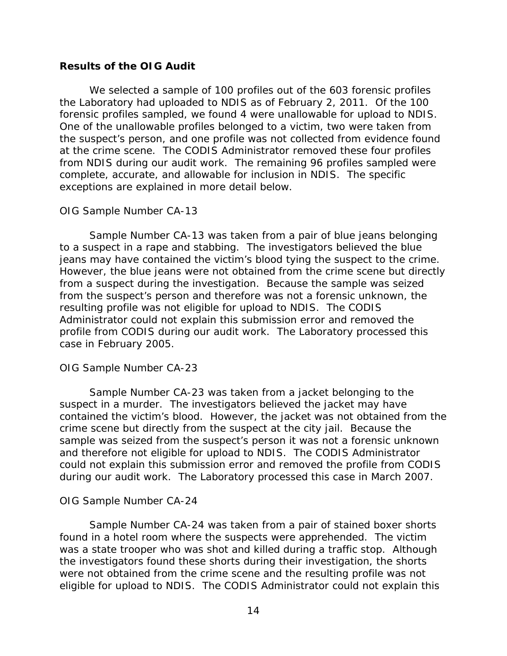### **Results of the OIG Audit**

We selected a sample of 100 profiles out of the 603 forensic profiles the Laboratory had uploaded to NDIS as of February 2, 2011. Of the 100 forensic profiles sampled, we found 4 were unallowable for upload to NDIS. One of the unallowable profiles belonged to a victim, two were taken from the suspect's person, and one profile was not collected from evidence found at the crime scene. The CODIS Administrator removed these four profiles from NDIS during our audit work. The remaining 96 profiles sampled were complete, accurate, and allowable for inclusion in NDIS. The specific exceptions are explained in more detail below.

#### *OIG Sample Number CA-13*

Sample Number CA-13 was taken from a pair of blue jeans belonging to a suspect in a rape and stabbing. The investigators believed the blue jeans may have contained the victim's blood tying the suspect to the crime. However, the blue jeans were not obtained from the crime scene but directly from a suspect during the investigation. Because the sample was seized from the suspect's person and therefore was not a forensic unknown, the resulting profile was not eligible for upload to NDIS. The CODIS Administrator could not explain this submission error and removed the profile from CODIS during our audit work. The Laboratory processed this case in February 2005.

#### *OIG Sample Number CA-23*

Sample Number CA-23 was taken from a jacket belonging to the suspect in a murder. The investigators believed the jacket may have contained the victim's blood. However, the jacket was not obtained from the crime scene but directly from the suspect at the city jail. Because the sample was seized from the suspect's person it was not a forensic unknown and therefore not eligible for upload to NDIS. The CODIS Administrator could not explain this submission error and removed the profile from CODIS during our audit work. The Laboratory processed this case in March 2007.

## *OIG Sample Number CA-24*

Sample Number CA-24 was taken from a pair of stained boxer shorts found in a hotel room where the suspects were apprehended. The victim was a state trooper who was shot and killed during a traffic stop. Although the investigators found these shorts during their investigation, the shorts were not obtained from the crime scene and the resulting profile was not eligible for upload to NDIS. The CODIS Administrator could not explain this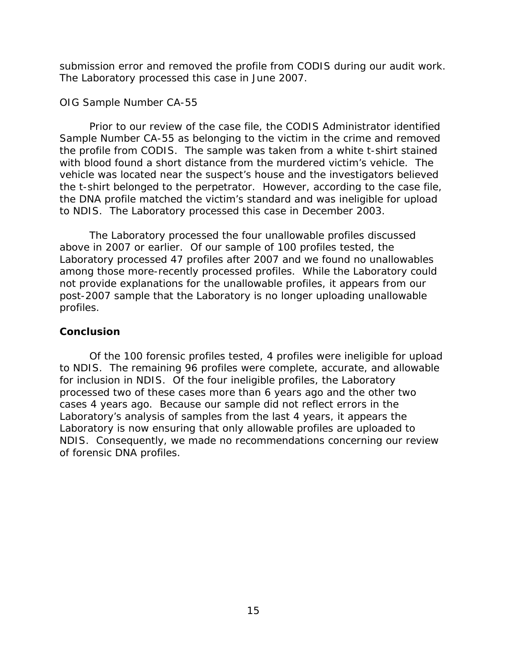submission error and removed the profile from CODIS during our audit work. The Laboratory processed this case in June 2007.

### *OIG Sample Number CA-55*

Prior to our review of the case file, the CODIS Administrator identified Sample Number CA-55 as belonging to the victim in the crime and removed the profile from CODIS. The sample was taken from a white t-shirt stained with blood found a short distance from the murdered victim's vehicle. The vehicle was located near the suspect's house and the investigators believed the t-shirt belonged to the perpetrator. However, according to the case file, the DNA profile matched the victim's standard and was ineligible for upload to NDIS. The Laboratory processed this case in December 2003.

The Laboratory processed the four unallowable profiles discussed above in 2007 or earlier. Of our sample of 100 profiles tested, the Laboratory processed 47 profiles after 2007 and we found no unallowables among those more-recently processed profiles. While the Laboratory could not provide explanations for the unallowable profiles, it appears from our post-2007 sample that the Laboratory is no longer uploading unallowable profiles.

## **Conclusion**

Of the 100 forensic profiles tested, 4 profiles were ineligible for upload to NDIS. The remaining 96 profiles were complete, accurate, and allowable for inclusion in NDIS. Of the four ineligible profiles, the Laboratory processed two of these cases more than 6 years ago and the other two cases 4 years ago. Because our sample did not reflect errors in the Laboratory's analysis of samples from the last 4 years, it appears the Laboratory is now ensuring that only allowable profiles are uploaded to NDIS. Consequently, we made no recommendations concerning our review of forensic DNA profiles.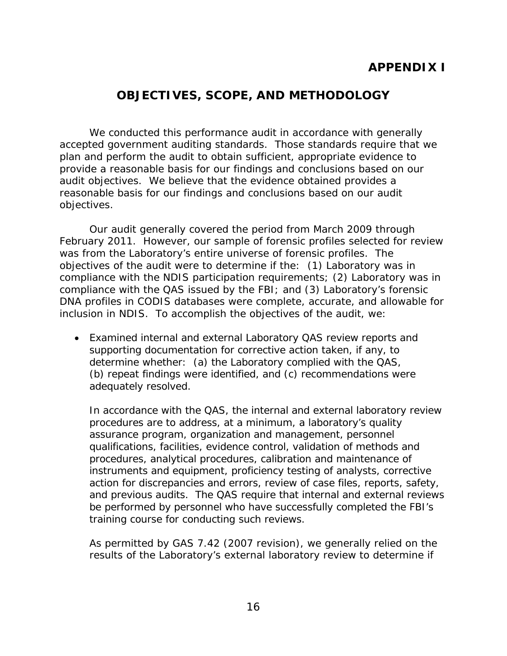# **APPENDIX I**

## **OBJECTIVES, SCOPE, AND METHODOLOGY**

<span id="page-20-0"></span>We conducted this performance audit in accordance with generally accepted government auditing standards. Those standards require that we plan and perform the audit to obtain sufficient, appropriate evidence to provide a reasonable basis for our findings and conclusions based on our audit objectives. We believe that the evidence obtained provides a reasonable basis for our findings and conclusions based on our audit objectives.

Our audit generally covered the period from March 2009 through February 2011. However, our sample of forensic profiles selected for review was from the Laboratory's entire universe of forensic profiles. The objectives of the audit were to determine if the: (1) Laboratory was in compliance with the NDIS participation requirements; (2) Laboratory was in compliance with the QAS issued by the FBI; and (3) Laboratory's forensic DNA profiles in CODIS databases were complete, accurate, and allowable for inclusion in NDIS. To accomplish the objectives of the audit, we:

 Examined internal and external Laboratory QAS review reports and supporting documentation for corrective action taken, if any, to determine whether: (a) the Laboratory complied with the QAS, (b) repeat findings were identified, and (c) recommendations were adequately resolved.

training course for conducting such reviews. In accordance with the QAS, the internal and external laboratory review procedures are to address, at a minimum, a laboratory's quality assurance program, organization and management, personnel qualifications, facilities, evidence control, validation of methods and procedures, analytical procedures, calibration and maintenance of instruments and equipment, proficiency testing of analysts, corrective action for discrepancies and errors, review of case files, reports, safety, and previous audits. The QAS require that internal and external reviews be performed by personnel who have successfully completed the FBI's

As permitted by GAS 7.42 (2007 revision), we generally relied on the results of the Laboratory's external laboratory review to determine if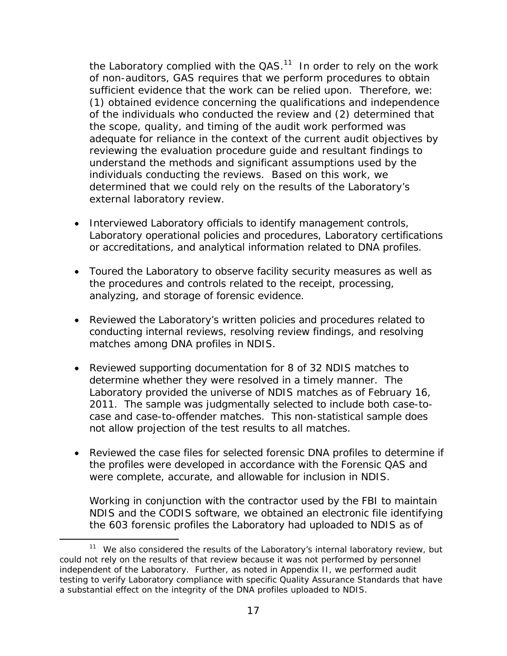the Laboratory complied with the  $QAS$ <sup>11</sup> In order to rely on the work of non-auditors, GAS requires that we perform procedures to obtain sufficient evidence that the work can be relied upon. Therefore, we: (1) obtained evidence concerning the qualifications and independence of the individuals who conducted the review and (2) determined that the scope, quality, and timing of the audit work performed was adequate for reliance in the context of the current audit objectives by reviewing the evaluation procedure guide and resultant findings to understand the methods and significant assumptions used by the individuals conducting the reviews. Based on this work, we determined that we could rely on the results of the Laboratory's external laboratory review.

- Interviewed Laboratory officials to identify management controls, Laboratory operational policies and procedures, Laboratory certifications or accreditations, and analytical information related to DNA profiles.
- Toured the Laboratory to observe facility security measures as well as the procedures and controls related to the receipt, processing, analyzing, and storage of forensic evidence.
- Reviewed the Laboratory's written policies and procedures related to conducting internal reviews, resolving review findings, and resolving matches among DNA profiles in NDIS.
- Reviewed supporting documentation for 8 of 32 NDIS matches to determine whether they were resolved in a timely manner. The Laboratory provided the universe of NDIS matches as of February 16, 2011. The sample was judgmentally selected to include both case-tocase and case-to-offender matches. This non-statistical sample does not allow projection of the test results to all matches.
- Reviewed the case files for selected forensic DNA profiles to determine if the profiles were developed in accordance with the Forensic QAS and were complete, accurate, and allowable for inclusion in NDIS.

Working in conjunction with the contractor used by the FBI to maintain NDIS and the CODIS software, we obtained an electronic file identifying the 603 forensic profiles the Laboratory had uploaded to NDIS as of

-

 $11$  We also considered the results of the Laboratory's internal laboratory review, but could not rely on the results of that review because it was not performed by personnel independent of the Laboratory. Further, as noted in Appendix II, we performed audit testing to verify Laboratory compliance with specific Quality Assurance Standards that have a substantial effect on the integrity of the DNA profiles uploaded to NDIS.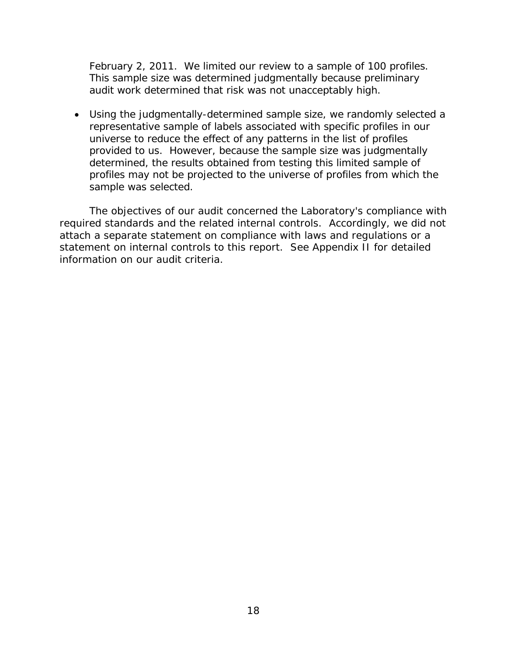February 2, 2011. We limited our review to a sample of 100 profiles. This sample size was determined judgmentally because preliminary audit work determined that risk was not unacceptably high.

 Using the judgmentally-determined sample size, we randomly selected a representative sample of labels associated with specific profiles in our universe to reduce the effect of any patterns in the list of profiles provided to us. However, because the sample size was judgmentally determined, the results obtained from testing this limited sample of profiles may not be projected to the universe of profiles from which the sample was selected.

The objectives of our audit concerned the Laboratory's compliance with required standards and the related internal controls. Accordingly, we did not attach a separate statement on compliance with laws and regulations or a statement on internal controls to this report. See Appendix II for detailed information on our audit criteria.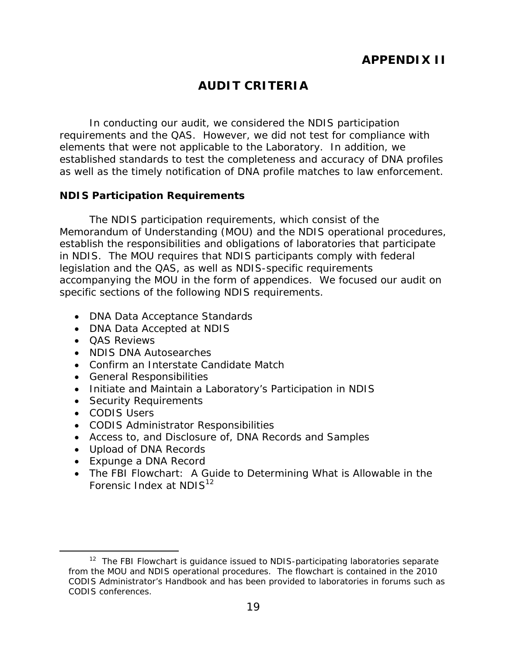# **AUDIT CRITERIA**

<span id="page-23-0"></span>In conducting our audit, we considered the NDIS participation requirements and the QAS. However, we did not test for compliance with elements that were not applicable to the Laboratory. In addition, we established standards to test the completeness and accuracy of DNA profiles as well as the timely notification of DNA profile matches to law enforcement.

### **NDIS Participation Requirements**

The NDIS participation requirements, which consist of the Memorandum of Understanding (MOU) and the NDIS operational procedures, establish the responsibilities and obligations of laboratories that participate in NDIS. The MOU requires that NDIS participants comply with federal legislation and the QAS, as well as NDIS-specific requirements accompanying the MOU in the form of appendices. We focused our audit on specific sections of the following NDIS requirements.

- DNA Data Acceptance Standards
- DNA Data Accepted at NDIS
- **QAS Reviews**
- NDIS DNA Autosearches
- Confirm an Interstate Candidate Match
- General Responsibilities
- Initiate and Maintain a Laboratory's Participation in NDIS
- Security Requirements
- CODIS Users

 $\overline{a}$ 

- CODIS Administrator Responsibilities
- Access to, and Disclosure of, DNA Records and Samples
- Upload of DNA Records
- Expunge a DNA Record
- The FBI Flowchart: A Guide to Determining What is Allowable in the Forensic Index at  $NDIS<sup>12</sup>$

 $12$  The FBI Flowchart is guidance issued to NDIS-participating laboratories separate from the MOU and NDIS operational procedures. The flowchart is contained in the 2010 CODIS Administrator's Handbook and has been provided to laboratories in forums such as CODIS conferences.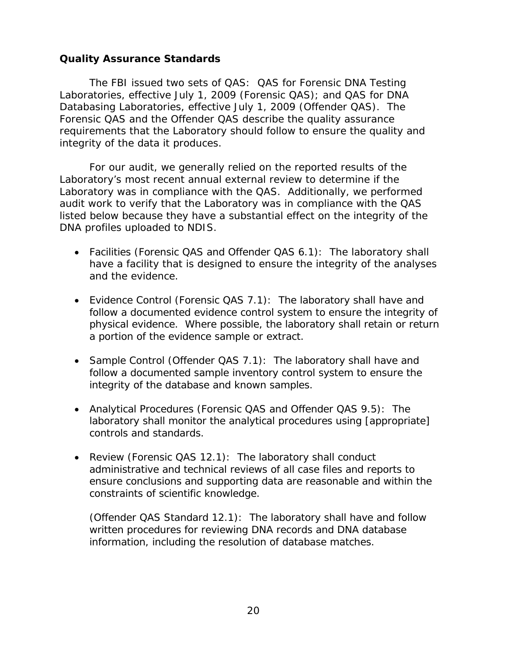### <span id="page-24-0"></span>**Quality Assurance Standards**

The FBI issued two sets of QAS: QAS for Forensic DNA Testing Laboratories, effective July 1, 2009 (Forensic QAS); and QAS for DNA Databasing Laboratories, effective July 1, 2009 (Offender QAS). The Forensic QAS and the Offender QAS describe the quality assurance requirements that the Laboratory should follow to ensure the quality and integrity of the data it produces.

For our audit, we generally relied on the reported results of the Laboratory's most recent annual external review to determine if the Laboratory was in compliance with the QAS. Additionally, we performed audit work to verify that the Laboratory was in compliance with the QAS listed below because they have a substantial effect on the integrity of the DNA profiles uploaded to NDIS.

- Facilities (Forensic QAS and Offender QAS 6.1): The laboratory shall and the evidence. have a facility that is designed to ensure the integrity of the analyses
- Evidence Control (Forensic QAS 7.1): The laboratory shall have and follow a documented evidence control system to ensure the integrity of physical evidence. Where possible, the laboratory shall retain or return a portion of the evidence sample or extract.
- Sample Control (Offender QAS 7.1): The laboratory shall have and follow a documented sample inventory control system to ensure the integrity of the database and known samples.
- Analytical Procedures (Forensic QAS and Offender QAS 9.5): The laboratory shall monitor the analytical procedures using [appropriate] controls and standards.
- Review (Forensic QAS 12.1): The laboratory shall conduct administrative and technical reviews of all case files and reports to ensure conclusions and supporting data are reasonable and within the constraints of scientific knowledge.

(Offender QAS Standard 12.1): The laboratory shall have and follow written procedures for reviewing DNA records and DNA database information, including the resolution of database matches.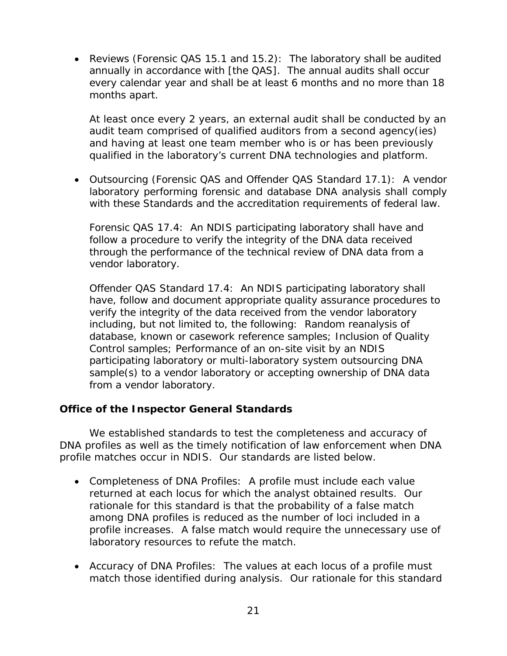<span id="page-25-0"></span> Reviews (Forensic QAS 15.1 and 15.2): The laboratory shall be audited annually in accordance with [the QAS]. The annual audits shall occur every calendar year and shall be at least 6 months and no more than 18 months apart.

At least once every 2 years, an external audit shall be conducted by an audit team comprised of qualified auditors from a second agency(ies) and having at least one team member who is or has been previously qualified in the laboratory's current DNA technologies and platform.

 Outsourcing (Forensic QAS and Offender QAS Standard 17.1): A vendor laboratory performing forensic and database DNA analysis shall comply with these Standards and the accreditation requirements of federal law.

Forensic QAS 17.4: An NDIS participating laboratory shall have and follow a procedure to verify the integrity of the DNA data received through the performance of the technical review of DNA data from a vendor laboratory.

Offender QAS Standard 17.4: An NDIS participating laboratory shall have, follow and document appropriate quality assurance procedures to verify the integrity of the data received from the vendor laboratory including, but not limited to, the following: Random reanalysis of database, known or casework reference samples; Inclusion of Quality Control samples; Performance of an on-site visit by an NDIS participating laboratory or multi-laboratory system outsourcing DNA sample(s) to a vendor laboratory or accepting ownership of DNA data from a vendor laboratory.

## **Office of the Inspector General Standards**

We established standards to test the completeness and accuracy of DNA profiles as well as the timely notification of law enforcement when DNA profile matches occur in NDIS. Our standards are listed below.

- Completeness of DNA Profiles: A profile must include each value returned at each locus for which the analyst obtained results. Our rationale for this standard is that the probability of a false match among DNA profiles is reduced as the number of loci included in a profile increases. A false match would require the unnecessary use of laboratory resources to refute the match.
- Accuracy of DNA Profiles: The values at each locus of a profile must match those identified during analysis. Our rationale for this standard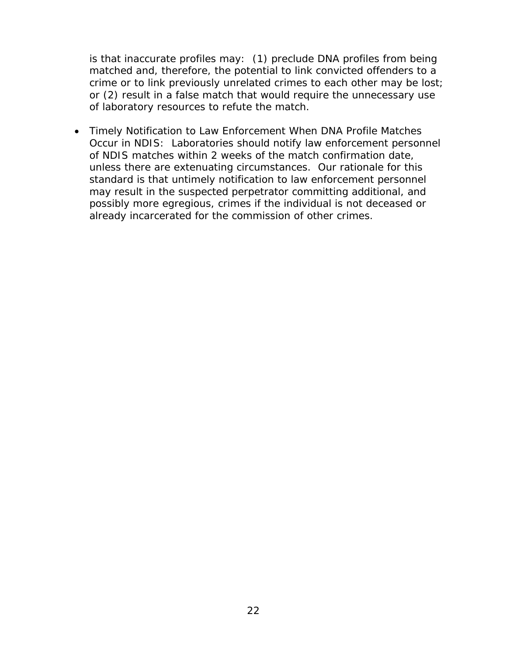is that inaccurate profiles may: (1) preclude DNA profiles from being matched and, therefore, the potential to link convicted offenders to a crime or to link previously unrelated crimes to each other may be lost; or (2) result in a false match that would require the unnecessary use of laboratory resources to refute the match.

already incarcerated for the commission of other crimes. Timely Notification to Law Enforcement When DNA Profile Matches Occur in NDIS: Laboratories should notify law enforcement personnel of NDIS matches within 2 weeks of the match confirmation date, unless there are extenuating circumstances. Our rationale for this standard is that untimely notification to law enforcement personnel may result in the suspected perpetrator committing additional, and possibly more egregious, crimes if the individual is not deceased or already incarcerated for the commission of other crimes.<br>
22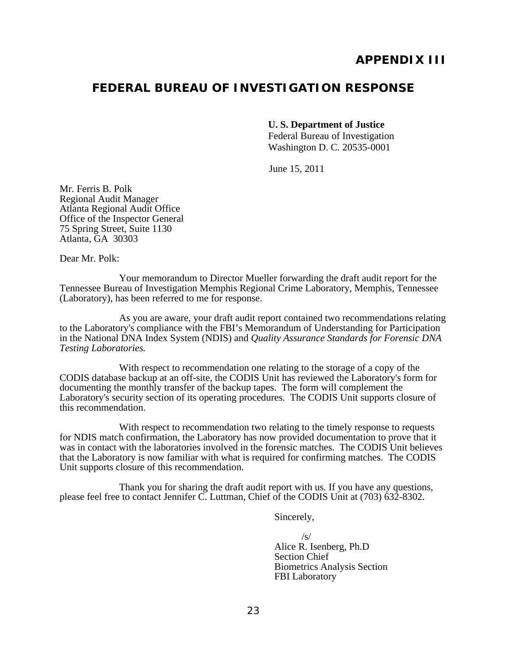## **FEDERAL BUREAU OF INVESTIGATION RESPONSE**

**U. S. Department of Justice** 

Federal Bureau of Investigation Washington D. C. 20535-0001

June 15, 2011

Mr. Ferris B. Polk Regional Audit Manager Atlanta Regional Audit Office Office of the Inspector General 75 Spring Street, Suite 1130 Atlanta, GA 30303

Dear Mr. Polk:

Your memorandum to Director Mueller forwarding the draft audit report for the Tennessee Bureau of Investigation Memphis Regional Crime Laboratory, Memphis, Tennessee (Laboratory), has been referred to me for response.

As you are aware, your draft audit report contained two recommendations relating to the Laboratory's compliance with the FBI's Memorandum of Understanding for Participation in the National DNA Index System (NDIS) and *Quality Assurance Standards for Forensic DNA Testing Laboratories.* 

With respect to recommendation one relating to the storage of a copy of the CODIS database backup at an off-site, the CODIS Unit has reviewed the Laboratory's form for documenting the monthly transfer of the backup tapes. The form will complement the Laboratory's security section of its operating procedures. The CODIS Unit supports closure of this recommendation.

With respect to recommendation two relating to the timely response to requests for NDIS match confirmation, the Laboratory has now provided documentation to prove that it was in contact with the laboratories involved in the forensic matches. The CODIS Unit believes that the Laboratory is now familiar with what is required for confirming matches. The CODIS Unit supports closure of this recommendation.

Thank you for sharing the draft audit report with us. If you have any questions, please feel free to contact Jennifer C. Luttman, Chief of the CODIS Unit at (703) 632-8302.

Sincerely,

 $\sqrt{S}$ Alice R. Isenberg, Ph.D Section Chief Biometrics Analysis Section FBI Laboratory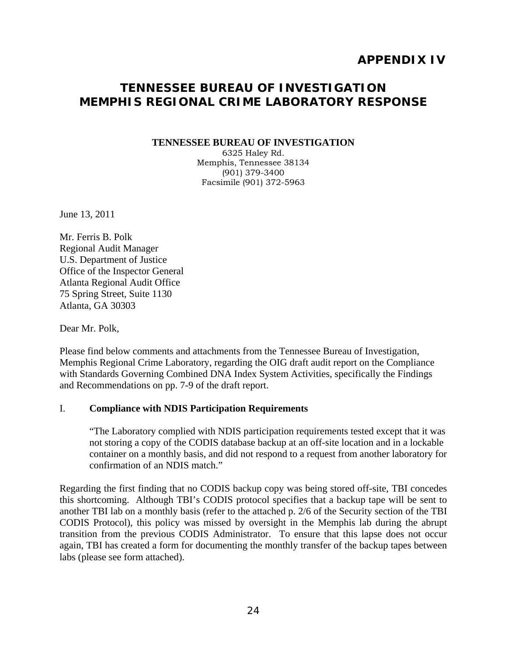## **APPENDIX IV**

## **TENNESSEE BUREAU OF INVESTIGATION MEMPHIS REGIONAL CRIME LABORATORY RESPONSE**

#### **TENNESSEE BUREAU OF INVESTIGATION**

6325 Haley Rd. Memphis, Tennessee 38134 (901) 379-3400 Facsimile (901) 372-5963

June 13, 2011

Mr. Ferris B. Polk Regional Audit Manager U.S. Department of Justice Office of the Inspector General Atlanta Regional Audit Office 75 Spring Street, Suite 1130 Atlanta, GA 30303

Dear Mr. Polk,

Please find below comments and attachments from the Tennessee Bureau of Investigation, Memphis Regional Crime Laboratory, regarding the OIG draft audit report on the Compliance with Standards Governing Combined DNA Index System Activities, specifically the Findings and Recommendations on pp. 7-9 of the draft report.

#### I. **Compliance with NDIS Participation Requirements**

"The Laboratory complied with NDIS participation requirements tested except that it was not storing a copy of the CODIS database backup at an off-site location and in a lockable container on a monthly basis, and did not respond to a request from another laboratory for confirmation of an NDIS match."

Regarding the first finding that no CODIS backup copy was being stored off-site, TBI concedes this shortcoming. Although TBI's CODIS protocol specifies that a backup tape will be sent to another TBI lab on a monthly basis (refer to the attached p. 2/6 of the Security section of the TBI CODIS Protocol), this policy was missed by oversight in the Memphis lab during the abrupt transition from the previous CODIS Administrator. To ensure that this lapse does not occur again, TBI has created a form for documenting the monthly transfer of the backup tapes between labs (please see form attached).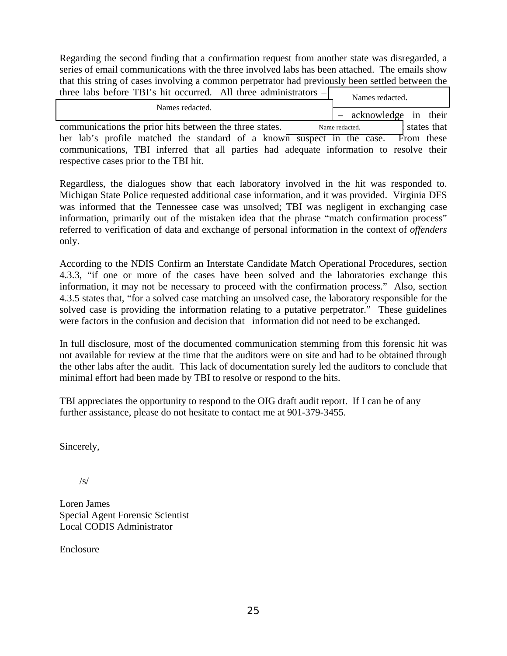xxxxx xxxxxxx xxxx xxxxx Regarding the second finding that a confirmation request from another state was disregarded, a series of email communications with the three involved labs has been attached. The emails show that this string of cases involving a common perpetrator had previously been settled between the three labs before TBI's hit occurred. All three administrators -

| $\mu$ and $\sigma$ and $\sigma$ and $\sigma$ and $\sigma$ and $\sigma$ and $\sigma$ and $\sigma$ and $\sigma$ and $\sigma$ and $\sigma$ and $\sigma$ and $\sigma$ and $\sigma$ and $\sigma$ and $\sigma$ and $\sigma$ and $\sigma$ and $\sigma$ and $\sigma$ and $\sigma$ and $\sigma$ and $\sigma$ and $\sigma$ and $\sigma$<br>Names redacted. |                               |
|--------------------------------------------------------------------------------------------------------------------------------------------------------------------------------------------------------------------------------------------------------------------------------------------------------------------------------------------------|-------------------------------|
| Names redacted.                                                                                                                                                                                                                                                                                                                                  |                               |
|                                                                                                                                                                                                                                                                                                                                                  | - acknowledge in their        |
| communications the prior hits between the three states.                                                                                                                                                                                                                                                                                          | states that<br>Name redacted. |
| her lab's profile matched the standard of a known suspect in the case. From these                                                                                                                                                                                                                                                                |                               |
| communications, TBI inferred that all parties had adequate information to resolve their                                                                                                                                                                                                                                                          |                               |
| respective cases prior to the TBI hit.                                                                                                                                                                                                                                                                                                           |                               |

Regardless, the dialogues show that each laboratory involved in the hit was responded to. Michigan State Police requested additional case information, and it was provided. Virginia DFS was informed that the Tennessee case was unsolved; TBI was negligent in exchanging case information, primarily out of the mistaken idea that the phrase "match confirmation process" referred to verification of data and exchange of personal information in the context of *offenders*  only.

According to the NDIS Confirm an Interstate Candidate Match Operational Procedures, section 4.3.3, "if one or more of the cases have been solved and the laboratories exchange this information, it may not be necessary to proceed with the confirmation process." Also, section 4.3.5 states that, "for a solved case matching an unsolved case, the laboratory responsible for the solved case is providing the information relating to a putative perpetrator." These guidelines were factors in the confusion and decision that information did not need to be exchanged.

In full disclosure, most of the documented communication stemming from this forensic hit was not available for review at the time that the auditors were on site and had to be obtained through the other labs after the audit. This lack of documentation surely led the auditors to conclude that minimal effort had been made by TBI to resolve or respond to the hits.

TBI appreciates the opportunity to respond to the OIG draft audit report. If I can be of any further assistance, please do not hesitate to contact me at 901-379-3455.

Sincerely,

 $/s/$ 

Loren James Special Agent Forensic Scientist Local CODIS Administrator

Enclosure